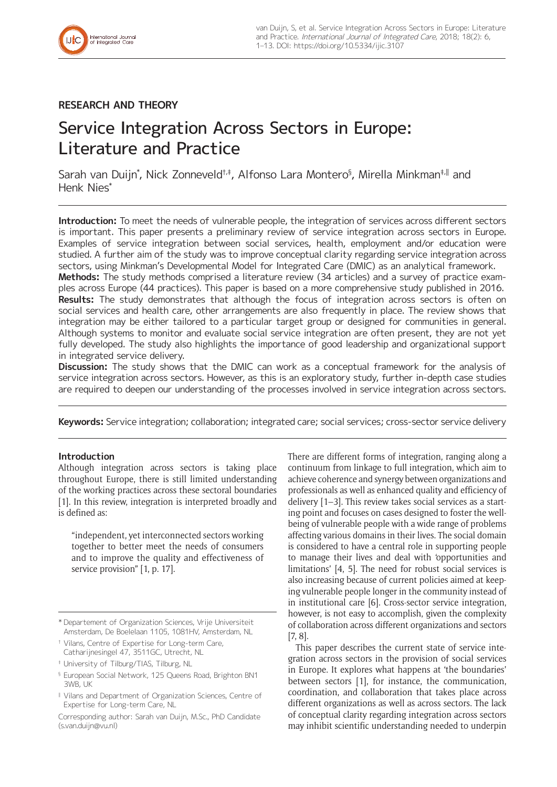# **RESEARCH AND THEORY**

# Service Integration Across Sectors in Europe: Literature and Practice

Sarah van Duijn\*, Nick Zonneveld†‡, Alfonso Lara Montero§, Mirella Minkman‡<sub>'</sub>∥ and Henk Nies\*

**Introduction:** To meet the needs of vulnerable people, the integration of services across different sectors is important. This paper presents a preliminary review of service integration across sectors in Europe. Examples of service integration between social services, health, employment and/or education were studied. A further aim of the study was to improve conceptual clarity regarding service integration across sectors, using Minkman's Developmental Model for Integrated Care (DMIC) as an analytical framework.

**Methods:** The study methods comprised a literature review (34 articles) and a survey of practice examples across Europe (44 practices). This paper is based on a more comprehensive study published in 2016. **Results:** The study demonstrates that although the focus of integration across sectors is often on social services and health care, other arrangements are also frequently in place. The review shows that integration may be either tailored to a particular target group or designed for communities in general. Although systems to monitor and evaluate social service integration are often present, they are not yet fully developed. The study also highlights the importance of good leadership and organizational support in integrated service delivery.

**Discussion:** The study shows that the DMIC can work as a conceptual framework for the analysis of service integration across sectors. However, as this is an exploratory study, further in-depth case studies are required to deepen our understanding of the processes involved in service integration across sectors.

**Keywords:** Service integration; collaboration; integrated care; social services; cross-sector service delivery

# **Introduction**

Although integration across sectors is taking place throughout Europe, there is still limited understanding of the working practices across these sectoral boundaries [1]. In this review, integration is interpreted broadly and is defined as:

"independent, yet interconnected sectors working together to better meet the needs of consumers and to improve the quality and effectiveness of service provision" [1, p. 17].

† Vilans, Centre of Expertise for Long-term Care, Catharijnesingel 47, 3511GC, Utrecht, NL

§ European Social Network, 125 Queens Road, Brighton BN1 3WB, UK

There are different forms of integration, ranging along a continuum from linkage to full integration, which aim to achieve coherence and synergy between organizations and professionals as well as enhanced quality and efficiency of delivery [1–3]. This review takes social services as a starting point and focuses on cases designed to foster the wellbeing of vulnerable people with a wide range of problems affecting various domains in their lives. The social domain is considered to have a central role in supporting people to manage their lives and deal with 'opportunities and limitations' [4, 5]. The need for robust social services is also increasing because of current policies aimed at keeping vulnerable people longer in the community instead of in institutional care [6]. Cross-sector service integration, however, is not easy to accomplish, given the complexity of collaboration across different organizations and sectors [7, 8].

This paper describes the current state of service integration across sectors in the provision of social services in Europe. It explores what happens at 'the boundaries' between sectors [1], for instance, the communication, coordination, and collaboration that takes place across different organizations as well as across sectors. The lack of conceptual clarity regarding integration across sectors may inhibit scientific understanding needed to underpin

<sup>\*</sup> Departement of Organization Sciences, Vrije Universiteit Amsterdam, De Boelelaan 1105, 1081HV, Amsterdam, NL

<sup>‡</sup> University of Tilburg/TIAS, Tilburg, NL

<sup>‖</sup> Vilans and Department of Organization Sciences, Centre of Expertise for Long-term Care, NL

Corresponding author: Sarah van Duijn, M.Sc., PhD Candidate [\(s.van.duijn@vu.nl\)](mailto:s.van.duijn@vu.nl)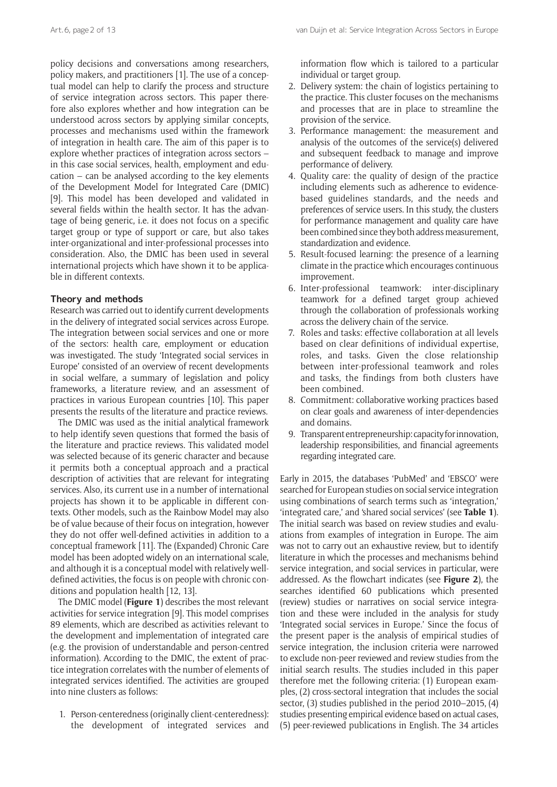policy decisions and conversations among researchers, policy makers, and practitioners [1]. The use of a conceptual model can help to clarify the process and structure of service integration across sectors. This paper therefore also explores whether and how integration can be understood across sectors by applying similar concepts, processes and mechanisms used within the framework of integration in health care. The aim of this paper is to explore whether practices of integration across sectors – in this case social services, health, employment and education – can be analysed according to the key elements of the Development Model for Integrated Care (DMIC) [9]. This model has been developed and validated in several fields within the health sector. It has the advantage of being generic, i.e. it does not focus on a specific target group or type of support or care, but also takes inter-organizational and inter-professional processes into consideration. Also, the DMIC has been used in several international projects which have shown it to be applicable in different contexts.

# **Theory and methods**

Research was carried out to identify current developments in the delivery of integrated social services across Europe. The integration between social services and one or more of the sectors: health care, employment or education was investigated. The study 'Integrated social services in Europe' consisted of an overview of recent developments in social welfare, a summary of legislation and policy frameworks, a literature review, and an assessment of practices in various European countries [10]. This paper presents the results of the literature and practice reviews.

The DMIC was used as the initial analytical framework to help identify seven questions that formed the basis of the literature and practice reviews. This validated model was selected because of its generic character and because it permits both a conceptual approach and a practical description of activities that are relevant for integrating services. Also, its current use in a number of international projects has shown it to be applicable in different contexts. Other models, such as the Rainbow Model may also be of value because of their focus on integration, however they do not offer well-defined activities in addition to a conceptual framework [11]. The (Expanded) Chronic Care model has been adopted widely on an international scale, and although it is a conceptual model with relatively welldefined activities, the focus is on people with chronic conditions and population health [12, 13].

The DMIC model (**Figure 1**) describes the most relevant activities for service integration [9]. This model comprises 89 elements, which are described as activities relevant to the development and implementation of integrated care (e.g. the provision of understandable and person-centred information). According to the DMIC, the extent of practice integration correlates with the number of elements of integrated services identified. The activities are grouped into nine clusters as follows:

1. Person-centeredness (originally client-centeredness): the development of integrated services and information flow which is tailored to a particular individual or target group.

- 2. Delivery system: the chain of logistics pertaining to the practice. This cluster focuses on the mechanisms and processes that are in place to streamline the provision of the service.
- 3. Performance management: the measurement and analysis of the outcomes of the service(s) delivered and subsequent feedback to manage and improve performance of delivery.
- 4. Quality care: the quality of design of the practice including elements such as adherence to evidencebased guidelines standards, and the needs and preferences of service users. In this study, the clusters for performance management and quality care have been combined since they both address measurement, standardization and evidence.
- 5. Result-focused learning: the presence of a learning climate in the practice which encourages continuous improvement.
- 6. Inter-professional teamwork: inter-disciplinary teamwork for a defined target group achieved through the collaboration of professionals working across the delivery chain of the service.
- 7. Roles and tasks: effective collaboration at all levels based on clear definitions of individual expertise, roles, and tasks. Given the close relationship between inter-professional teamwork and roles and tasks, the findings from both clusters have been combined.
- 8. Commitment: collaborative working practices based on clear goals and awareness of inter-dependencies and domains.
- 9. Transparent entrepreneurship: capacity for innovation, leadership responsibilities, and financial agreements regarding integrated care.

Early in 2015, the databases 'PubMed' and 'EBSCO' were searched for European studies on social service integration using combinations of search terms such as 'integration,' 'integrated care,' and 'shared social services' (see **Table 1**). The initial search was based on review studies and evaluations from examples of integration in Europe. The aim was not to carry out an exhaustive review, but to identify literature in which the processes and mechanisms behind service integration, and social services in particular, were addressed. As the flowchart indicates (see **Figure 2**), the searches identified 60 publications which presented (review) studies or narratives on social service integration and these were included in the analysis for study 'Integrated social services in Europe.' Since the focus of the present paper is the analysis of empirical studies of service integration, the inclusion criteria were narrowed to exclude non-peer reviewed and review studies from the initial search results. The studies included in this paper therefore met the following criteria: (1) European examples, (2) cross-sectoral integration that includes the social sector, (3) studies published in the period 2010–2015, (4) studies presenting empirical evidence based on actual cases, (5) peer-reviewed publications in English. The 34 articles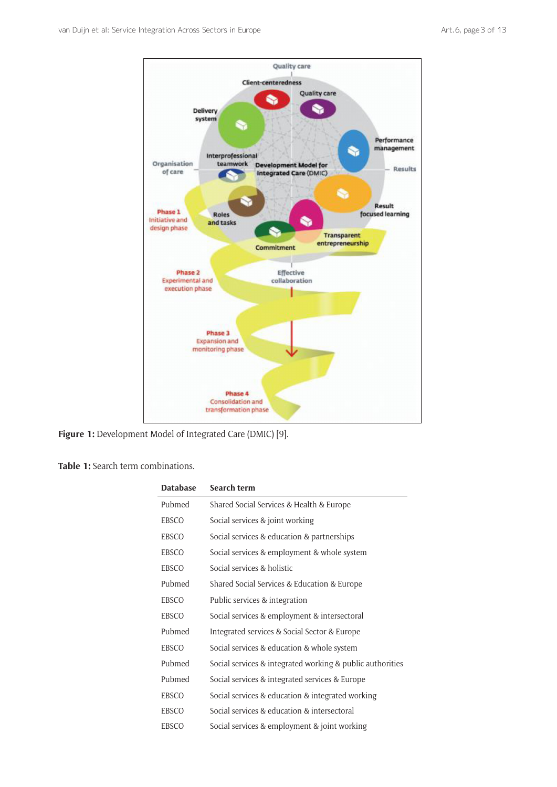

**Figure 1:** Development Model of Integrated Care (DMIC) [9].

# **Table 1:** Search term combinations.

| Database | Search term                                               |
|----------|-----------------------------------------------------------|
| Pubmed   | Shared Social Services & Health & Europe                  |
| EBSCO    | Social services & joint working                           |
| EBSCO    | Social services & education & partnerships                |
| EBSCO    | Social services & employment & whole system               |
| EBSCO    | Social services & holistic                                |
| Pubmed   | Shared Social Services & Education & Europe               |
| EBSCO    | Public services & integration                             |
| EBSCO    | Social services & employment & intersectoral              |
| Pubmed   | Integrated services & Social Sector & Europe              |
| EBSCO    | Social services & education & whole system                |
| Pubmed   | Social services & integrated working & public authorities |
| Pubmed   | Social services & integrated services & Europe            |
| EBSCO    | Social services & education & integrated working          |
| EBSCO    | Social services & education & intersectoral               |
| EBSCO    | Social services & employment & joint working              |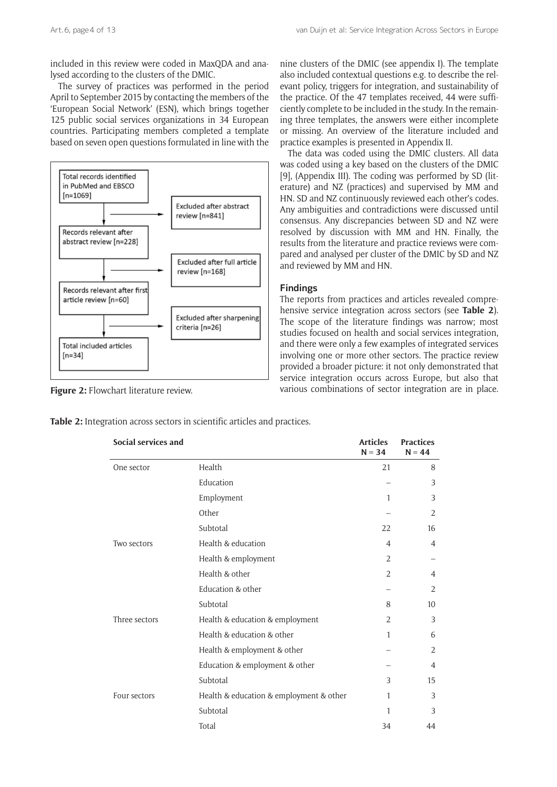included in this review were coded in MaxQDA and analysed according to the clusters of the DMIC.

The survey of practices was performed in the period April to September 2015 by contacting the members of the 'European Social Network' (ESN), which brings together 125 public social services organizations in 34 European countries. Participating members completed a template based on seven open questions formulated in line with the



**Figure 2:** Flowchart literature review.

nine clusters of the DMIC (see appendix I). The template also included contextual questions e.g. to describe the relevant policy, triggers for integration, and sustainability of the practice. Of the 47 templates received, 44 were sufficiently complete to be included in the study. In the remaining three templates, the answers were either incomplete or missing. An overview of the literature included and practice examples is presented in Appendix II.

The data was coded using the DMIC clusters. All data was coded using a key based on the clusters of the DMIC [9], (Appendix III). The coding was performed by SD (literature) and NZ (practices) and supervised by MM and HN. SD and NZ continuously reviewed each other's codes. Any ambiguities and contradictions were discussed until consensus. Any discrepancies between SD and NZ were resolved by discussion with MM and HN. Finally, the results from the literature and practice reviews were compared and analysed per cluster of the DMIC by SD and NZ and reviewed by MM and HN.

# **Findings**

The reports from practices and articles revealed comprehensive service integration across sectors (see **Table 2**). The scope of the literature findings was narrow; most studies focused on health and social services integration, and there were only a few examples of integrated services involving one or more other sectors. The practice review provided a broader picture: it not only demonstrated that service integration occurs across Europe, but also that various combinations of sector integration are in place.

**Table 2:** Integration across sectors in scientific articles and practices.

| Social services and |                                         | <b>Articles</b><br>$N = 34$ | <b>Practices</b><br>$N = 44$ |
|---------------------|-----------------------------------------|-----------------------------|------------------------------|
| One sector          | Health                                  | 21                          | 8                            |
|                     | Education                               |                             | 3                            |
|                     | Employment                              | 1                           | 3                            |
|                     | Other                                   |                             | 2                            |
|                     | Subtotal                                | 22                          | 16                           |
| Two sectors         | Health & education                      | 4                           | 4                            |
|                     | Health & employment                     | 2                           |                              |
|                     | Health & other                          | $\overline{2}$              | 4                            |
|                     | Education & other                       |                             | 2                            |
|                     | Subtotal                                | 8                           | 10                           |
| Three sectors       | Health & education & employment         | 2                           | 3                            |
|                     | Health & education & other              | 1                           | 6                            |
|                     | Health & employment & other             |                             | 2                            |
|                     | Education & employment & other          |                             | 4                            |
|                     | Subtotal                                | 3                           | 15                           |
| Four sectors        | Health & education & employment & other | 1                           | 3                            |
|                     | Subtotal                                | 1                           | 3                            |
|                     | Total                                   | 34                          | 44                           |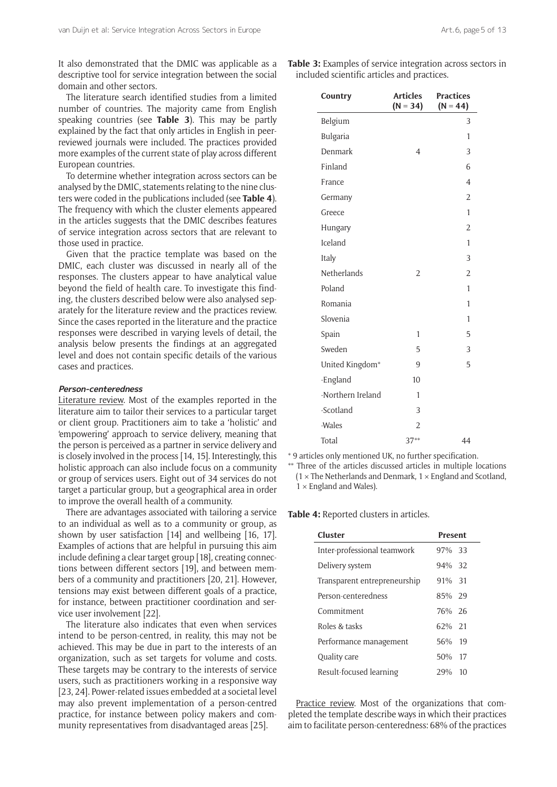It also demonstrated that the DMIC was applicable as a descriptive tool for service integration between the social domain and other sectors.

The literature search identified studies from a limited number of countries. The majority came from English speaking countries (see **Table 3**). This may be partly explained by the fact that only articles in English in peerreviewed journals were included. The practices provided more examples of the current state of play across different European countries.

To determine whether integration across sectors can be analysed by the DMIC, statements relating to the nine clusters were coded in the publications included (see **Table 4**). The frequency with which the cluster elements appeared in the articles suggests that the DMIC describes features of service integration across sectors that are relevant to those used in practice.

Given that the practice template was based on the DMIC, each cluster was discussed in nearly all of the responses. The clusters appear to have analytical value beyond the field of health care. To investigate this finding, the clusters described below were also analysed separately for the literature review and the practices review. Since the cases reported in the literature and the practice responses were described in varying levels of detail, the analysis below presents the findings at an aggregated level and does not contain specific details of the various cases and practices.

## **Person-centeredness**

Literature review. Most of the examples reported in the literature aim to tailor their services to a particular target or client group. Practitioners aim to take a 'holistic' and 'empowering' approach to service delivery, meaning that the person is perceived as a partner in service delivery and is closely involved in the process [14, 15]. Interestingly, this holistic approach can also include focus on a community or group of services users. Eight out of 34 services do not target a particular group, but a geographical area in order to improve the overall health of a community.

There are advantages associated with tailoring a service to an individual as well as to a community or group, as shown by user satisfaction [14] and wellbeing [16, 17]. Examples of actions that are helpful in pursuing this aim include defining a clear target group [18], creating connections between different sectors [19], and between members of a community and practitioners [20, 21]. However, tensions may exist between different goals of a practice, for instance, between practitioner coordination and service user involvement [22].

The literature also indicates that even when services intend to be person-centred, in reality, this may not be achieved. This may be due in part to the interests of an organization, such as set targets for volume and costs. These targets may be contrary to the interests of service users, such as practitioners working in a responsive way [23, 24]. Power-related issues embedded at a societal level may also prevent implementation of a person-centred practice, for instance between policy makers and community representatives from disadvantaged areas [25].

**Table 3:** Examples of service integration across sectors in included scientific articles and practices.

| Country           | <b>Articles</b><br>$(N = 34)$ | <b>Practices</b><br>$(N = 44)$ |
|-------------------|-------------------------------|--------------------------------|
| Belgium           |                               | 3                              |
| Bulgaria          |                               | 1                              |
| Denmark           | 4                             | 3                              |
| Finland           |                               | 6                              |
| France            |                               | $\overline{4}$                 |
| Germany           |                               | $\overline{2}$                 |
| Greece            |                               | 1                              |
| Hungary           |                               | $\overline{2}$                 |
| Iceland           |                               | 1                              |
| Italy             |                               | 3                              |
| Netherlands       | $\overline{2}$                | $\overline{2}$                 |
| Poland            |                               | 1                              |
| Romania           |                               | 1                              |
| Slovenia          |                               | 1                              |
| Spain             | 1                             | 5                              |
| Sweden            | 5                             | 3                              |
| United Kingdom*   | 9                             | 5                              |
| -England          | 10                            |                                |
| -Northern Ireland | 1                             |                                |
| -Scotland         | 3                             |                                |
| -Wales            | $\overline{\mathcal{L}}$      |                                |
| Total             | $37**$                        | 44                             |

\* 9 articles only mentioned UK, no further specification.

\*\* Three of the articles discussed articles in multiple locations  $(1 \times$  The Netherlands and Denmark,  $1 \times$  England and Scotland,  $1 \times$  England and Wales).

**Table 4:** Reported clusters in articles.

| Cluster                      | <b>Present</b> |  |
|------------------------------|----------------|--|
| Inter-professional teamwork  | 97% 33         |  |
| Delivery system              | $94\%$ 32      |  |
| Transparent entrepreneurship | $91\%$ 31      |  |
| Person-centeredness          | 85% 29         |  |
| Commitment                   | 76% 26         |  |
| Roles & tasks                | $62\%$ 21      |  |
| Performance management       | 56% 19         |  |
| Quality care                 | $50\%$ 17      |  |
| Result-focused learning      | 10<br>29%      |  |

Practice review. Most of the organizations that completed the template describe ways in which their practices aim to facilitate person-centeredness: 68% of the practices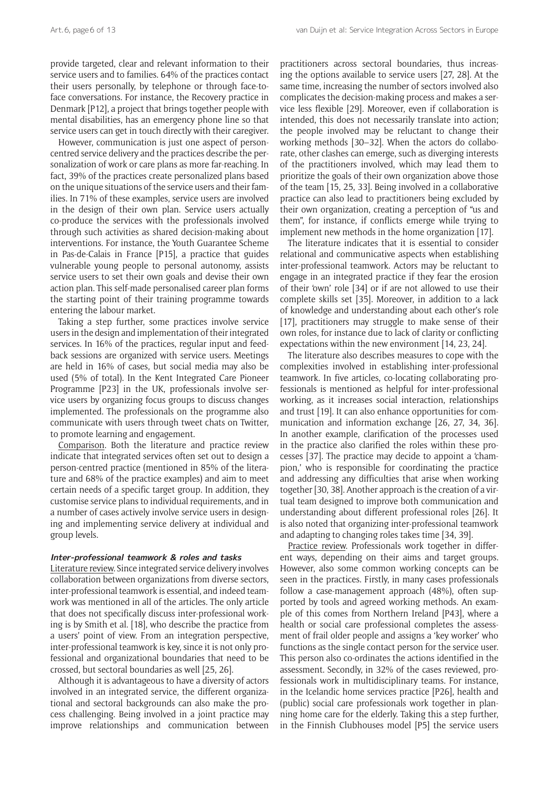provide targeted, clear and relevant information to their service users and to families. 64% of the practices contact their users personally, by telephone or through face-toface conversations. For instance, the Recovery practice in Denmark [P12], a project that brings together people with mental disabilities, has an emergency phone line so that service users can get in touch directly with their caregiver.

However, communication is just one aspect of personcentred service delivery and the practices describe the personalization of work or care plans as more far-reaching. In fact, 39% of the practices create personalized plans based on the unique situations of the service users and their families. In 71% of these examples, service users are involved in the design of their own plan. Service users actually co-produce the services with the professionals involved through such activities as shared decision-making about interventions. For instance, the Youth Guarantee Scheme in Pas-de-Calais in France [P15], a practice that guides vulnerable young people to personal autonomy, assists service users to set their own goals and devise their own action plan. This self-made personalised career plan forms the starting point of their training programme towards entering the labour market.

Taking a step further, some practices involve service users in the design and implementation of their integrated services. In 16% of the practices, regular input and feedback sessions are organized with service users. Meetings are held in 16% of cases, but social media may also be used (5% of total). In the Kent Integrated Care Pioneer Programme [P23] in the UK, professionals involve service users by organizing focus groups to discuss changes implemented. The professionals on the programme also communicate with users through tweet chats on Twitter, to promote learning and engagement.

Comparison. Both the literature and practice review indicate that integrated services often set out to design a person-centred practice (mentioned in 85% of the literature and 68% of the practice examples) and aim to meet certain needs of a specific target group. In addition, they customise service plans to individual requirements, and in a number of cases actively involve service users in designing and implementing service delivery at individual and group levels.

# **Inter-professional teamwork & roles and tasks**

Literature review. Since integrated service delivery involves collaboration between organizations from diverse sectors, inter-professional teamwork is essential, and indeed teamwork was mentioned in all of the articles. The only article that does not specifically discuss inter-professional working is by Smith et al. [18], who describe the practice from a users' point of view. From an integration perspective, inter-professional teamwork is key, since it is not only professional and organizational boundaries that need to be crossed, but sectoral boundaries as well [25, 26].

Although it is advantageous to have a diversity of actors involved in an integrated service, the different organizational and sectoral backgrounds can also make the process challenging. Being involved in a joint practice may improve relationships and communication between

practitioners across sectoral boundaries, thus increasing the options available to service users [27, 28]. At the same time, increasing the number of sectors involved also complicates the decision-making process and makes a service less flexible [29]. Moreover, even if collaboration is intended, this does not necessarily translate into action; the people involved may be reluctant to change their working methods [30–32]. When the actors do collaborate, other clashes can emerge, such as diverging interests of the practitioners involved, which may lead them to prioritize the goals of their own organization above those of the team [15, 25, 33]. Being involved in a collaborative practice can also lead to practitioners being excluded by their own organization, creating a perception of "us and them", for instance, if conflicts emerge while trying to implement new methods in the home organization [17].

The literature indicates that it is essential to consider relational and communicative aspects when establishing inter-professional teamwork. Actors may be reluctant to engage in an integrated practice if they fear the erosion of their 'own' role [34] or if are not allowed to use their complete skills set [35]. Moreover, in addition to a lack of knowledge and understanding about each other's role [17], practitioners may struggle to make sense of their own roles, for instance due to lack of clarity or conflicting expectations within the new environment [14, 23, 24].

The literature also describes measures to cope with the complexities involved in establishing inter-professional teamwork. In five articles, co-locating collaborating professionals is mentioned as helpful for inter-professional working, as it increases social interaction, relationships and trust [19]. It can also enhance opportunities for communication and information exchange [26, 27, 34, 36]. In another example, clarification of the processes used in the practice also clarified the roles within these processes [37]. The practice may decide to appoint a 'champion,' who is responsible for coordinating the practice and addressing any difficulties that arise when working together [30, 38]. Another approach is the creation of a virtual team designed to improve both communication and understanding about different professional roles [26]. It is also noted that organizing inter-professional teamwork and adapting to changing roles takes time [34, 39].

Practice review. Professionals work together in different ways, depending on their aims and target groups. However, also some common working concepts can be seen in the practices. Firstly, in many cases professionals follow a case-management approach (48%), often supported by tools and agreed working methods. An example of this comes from Northern Ireland [P43], where a health or social care professional completes the assessment of frail older people and assigns a 'key worker' who functions as the single contact person for the service user. This person also co-ordinates the actions identified in the assessment. Secondly, in 32% of the cases reviewed, professionals work in multidisciplinary teams. For instance, in the Icelandic home services practice [P26], health and (public) social care professionals work together in planning home care for the elderly. Taking this a step further, in the Finnish Clubhouses model [P5] the service users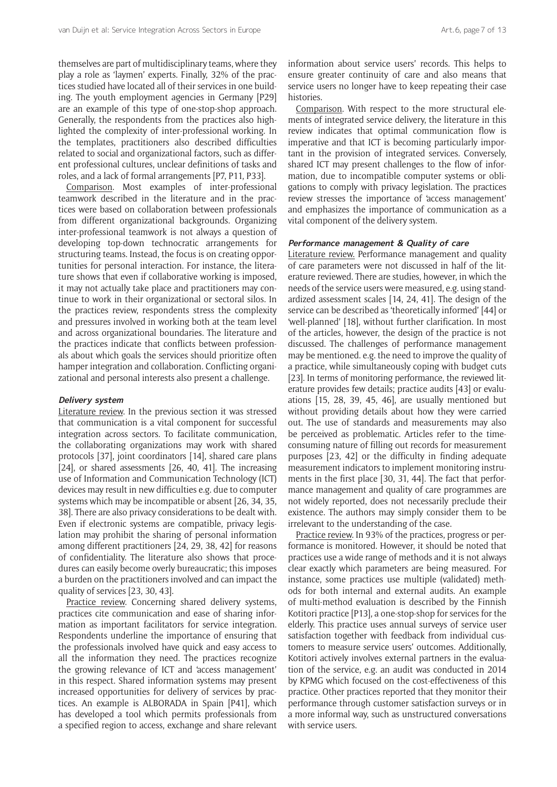themselves are part of multidisciplinary teams, where they play a role as 'laymen' experts. Finally, 32% of the practices studied have located all of their services in one building. The youth employment agencies in Germany [P29] are an example of this type of one-stop-shop approach. Generally, the respondents from the practices also highlighted the complexity of inter-professional working. In the templates, practitioners also described difficulties related to social and organizational factors, such as different professional cultures, unclear definitions of tasks and roles, and a lack of formal arrangements [P7, P11, P33].

Comparison. Most examples of inter-professional teamwork described in the literature and in the practices were based on collaboration between professionals from different organizational backgrounds. Organizing inter-professional teamwork is not always a question of developing top-down technocratic arrangements for structuring teams. Instead, the focus is on creating opportunities for personal interaction. For instance, the literature shows that even if collaborative working is imposed, it may not actually take place and practitioners may continue to work in their organizational or sectoral silos. In the practices review, respondents stress the complexity and pressures involved in working both at the team level and across organizational boundaries. The literature and the practices indicate that conflicts between professionals about which goals the services should prioritize often hamper integration and collaboration. Conflicting organizational and personal interests also present a challenge.

#### **Delivery system**

Literature review. In the previous section it was stressed that communication is a vital component for successful integration across sectors. To facilitate communication, the collaborating organizations may work with shared protocols [37], joint coordinators [14], shared care plans [24], or shared assessments [26, 40, 41]. The increasing use of Information and Communication Technology (ICT) devices may result in new difficulties e.g. due to computer systems which may be incompatible or absent [26, 34, 35, 38]. There are also privacy considerations to be dealt with. Even if electronic systems are compatible, privacy legislation may prohibit the sharing of personal information among different practitioners [24, 29, 38, 42] for reasons of confidentiality. The literature also shows that procedures can easily become overly bureaucratic; this imposes a burden on the practitioners involved and can impact the quality of services [23, 30, 43].

Practice review. Concerning shared delivery systems, practices cite communication and ease of sharing information as important facilitators for service integration. Respondents underline the importance of ensuring that the professionals involved have quick and easy access to all the information they need. The practices recognize the growing relevance of ICT and 'access management' in this respect. Shared information systems may present increased opportunities for delivery of services by practices. An example is ALBORADA in Spain [P41], which has developed a tool which permits professionals from a specified region to access, exchange and share relevant information about service users' records. This helps to ensure greater continuity of care and also means that service users no longer have to keep repeating their case histories.

Comparison. With respect to the more structural elements of integrated service delivery, the literature in this review indicates that optimal communication flow is imperative and that ICT is becoming particularly important in the provision of integrated services. Conversely, shared ICT may present challenges to the flow of information, due to incompatible computer systems or obligations to comply with privacy legislation. The practices review stresses the importance of 'access management' and emphasizes the importance of communication as a vital component of the delivery system.

# **Performance management & Quality of care**

Literature review. Performance management and quality of care parameters were not discussed in half of the literature reviewed. There are studies, however, in which the needs of the service users were measured, e.g. using standardized assessment scales [14, 24, 41]. The design of the service can be described as 'theoretically informed' [44] or 'well-planned' [18], without further clarification. In most of the articles, however, the design of the practice is not discussed. The challenges of performance management may be mentioned. e.g. the need to improve the quality of a practice, while simultaneously coping with budget cuts [23]. In terms of monitoring performance, the reviewed literature provides few details; practice audits [43] or evaluations [15, 28, 39, 45, 46], are usually mentioned but without providing details about how they were carried out. The use of standards and measurements may also be perceived as problematic. Articles refer to the timeconsuming nature of filling out records for measurement purposes [23, 42] or the difficulty in finding adequate measurement indicators to implement monitoring instruments in the first place [30, 31, 44]. The fact that performance management and quality of care programmes are not widely reported, does not necessarily preclude their existence. The authors may simply consider them to be irrelevant to the understanding of the case.

Practice review. In 93% of the practices, progress or performance is monitored. However, it should be noted that practices use a wide range of methods and it is not always clear exactly which parameters are being measured. For instance, some practices use multiple (validated) methods for both internal and external audits. An example of multi-method evaluation is described by the Finnish Kotitori practice [P13], a one-stop-shop for services for the elderly. This practice uses annual surveys of service user satisfaction together with feedback from individual customers to measure service users' outcomes. Additionally, Kotitori actively involves external partners in the evaluation of the service, e.g. an audit was conducted in 2014 by KPMG which focused on the cost-effectiveness of this practice. Other practices reported that they monitor their performance through customer satisfaction surveys or in a more informal way, such as unstructured conversations with service users.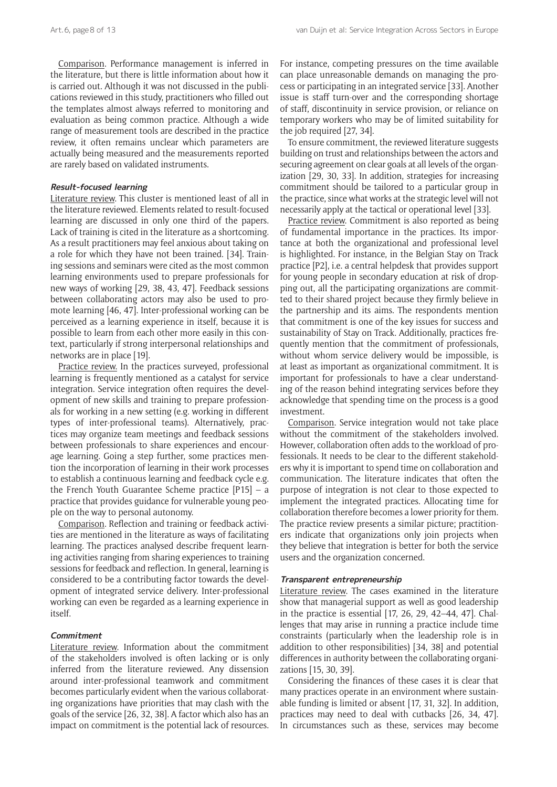Comparison. Performance management is inferred in the literature, but there is little information about how it is carried out. Although it was not discussed in the publications reviewed in this study, practitioners who filled out the templates almost always referred to monitoring and evaluation as being common practice. Although a wide range of measurement tools are described in the practice review, it often remains unclear which parameters are actually being measured and the measurements reported are rarely based on validated instruments.

# **Result-focused learning**

Literature review. This cluster is mentioned least of all in the literature reviewed. Elements related to result-focused learning are discussed in only one third of the papers. Lack of training is cited in the literature as a shortcoming. As a result practitioners may feel anxious about taking on a role for which they have not been trained. [34]. Training sessions and seminars were cited as the most common learning environments used to prepare professionals for new ways of working [29, 38, 43, 47]. Feedback sessions between collaborating actors may also be used to promote learning [46, 47]. Inter-professional working can be perceived as a learning experience in itself, because it is possible to learn from each other more easily in this context, particularly if strong interpersonal relationships and networks are in place [19].

Practice review. In the practices surveyed, professional learning is frequently mentioned as a catalyst for service integration. Service integration often requires the development of new skills and training to prepare professionals for working in a new setting (e.g. working in different types of inter-professional teams). Alternatively, practices may organize team meetings and feedback sessions between professionals to share experiences and encourage learning. Going a step further, some practices mention the incorporation of learning in their work processes to establish a continuous learning and feedback cycle e.g. the French Youth Guarantee Scheme practice [P15] – a practice that provides guidance for vulnerable young people on the way to personal autonomy.

Comparison. Reflection and training or feedback activities are mentioned in the literature as ways of facilitating learning. The practices analysed describe frequent learning activities ranging from sharing experiences to training sessions for feedback and reflection. In general, learning is considered to be a contributing factor towards the development of integrated service delivery. Inter-professional working can even be regarded as a learning experience in itself.

# **Commitment**

Literature review. Information about the commitment of the stakeholders involved is often lacking or is only inferred from the literature reviewed. Any dissension around inter-professional teamwork and commitment becomes particularly evident when the various collaborating organizations have priorities that may clash with the goals of the service [26, 32, 38]. A factor which also has an impact on commitment is the potential lack of resources. For instance, competing pressures on the time available can place unreasonable demands on managing the process or participating in an integrated service [33]. Another issue is staff turn-over and the corresponding shortage of staff, discontinuity in service provision, or reliance on temporary workers who may be of limited suitability for the job required [27, 34].

To ensure commitment, the reviewed literature suggests building on trust and relationships between the actors and securing agreement on clear goals at all levels of the organization [29, 30, 33]. In addition, strategies for increasing commitment should be tailored to a particular group in the practice, since what works at the strategic level will not necessarily apply at the tactical or operational level [33].

Practice review. Commitment is also reported as being of fundamental importance in the practices. Its importance at both the organizational and professional level is highlighted. For instance, in the Belgian Stay on Track practice [P2], i.e. a central helpdesk that provides support for young people in secondary education at risk of dropping out, all the participating organizations are committed to their shared project because they firmly believe in the partnership and its aims. The respondents mention that commitment is one of the key issues for success and sustainability of Stay on Track. Additionally, practices frequently mention that the commitment of professionals, without whom service delivery would be impossible, is at least as important as organizational commitment. It is important for professionals to have a clear understanding of the reason behind integrating services before they acknowledge that spending time on the process is a good investment.

Comparison. Service integration would not take place without the commitment of the stakeholders involved. However, collaboration often adds to the workload of professionals. It needs to be clear to the different stakeholders why it is important to spend time on collaboration and communication. The literature indicates that often the purpose of integration is not clear to those expected to implement the integrated practices. Allocating time for collaboration therefore becomes a lower priority for them. The practice review presents a similar picture; practitioners indicate that organizations only join projects when they believe that integration is better for both the service users and the organization concerned.

# **Transparent entrepreneurship**

Literature review. The cases examined in the literature show that managerial support as well as good leadership in the practice is essential [17, 26, 29, 42–44, 47]. Challenges that may arise in running a practice include time constraints (particularly when the leadership role is in addition to other responsibilities) [34, 38] and potential differences in authority between the collaborating organizations [15, 30, 39].

Considering the finances of these cases it is clear that many practices operate in an environment where sustainable funding is limited or absent [17, 31, 32]. In addition, practices may need to deal with cutbacks [26, 34, 47]. In circumstances such as these, services may become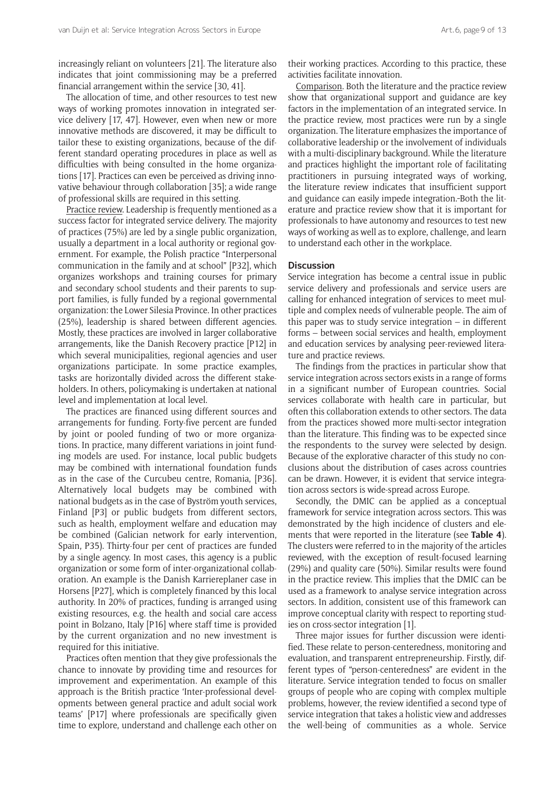increasingly reliant on volunteers [21]. The literature also indicates that joint commissioning may be a preferred financial arrangement within the service [30, 41].

The allocation of time, and other resources to test new ways of working promotes innovation in integrated service delivery [17, 47]. However, even when new or more innovative methods are discovered, it may be difficult to tailor these to existing organizations, because of the different standard operating procedures in place as well as difficulties with being consulted in the home organizations [17]. Practices can even be perceived as driving innovative behaviour through collaboration [35]; a wide range of professional skills are required in this setting.

Practice review. Leadership is frequently mentioned as a success factor for integrated service delivery. The majority of practices (75%) are led by a single public organization, usually a department in a local authority or regional government. For example, the Polish practice "Interpersonal communication in the family and at school" [P32], which organizes workshops and training courses for primary and secondary school students and their parents to support families, is fully funded by a regional governmental organization: the Lower Silesia Province. In other practices (25%), leadership is shared between different agencies. Mostly, these practices are involved in larger collaborative arrangements, like the Danish Recovery practice [P12] in which several municipalities, regional agencies and user organizations participate. In some practice examples, tasks are horizontally divided across the different stakeholders. In others, policymaking is undertaken at national level and implementation at local level.

The practices are financed using different sources and arrangements for funding. Forty-five percent are funded by joint or pooled funding of two or more organizations. In practice, many different variations in joint funding models are used. For instance, local public budgets may be combined with international foundation funds as in the case of the Curcubeu centre, Romania, [P36]. Alternatively local budgets may be combined with national budgets as in the case of Byström youth services, Finland [P3] or public budgets from different sectors, such as health, employment welfare and education may be combined (Galician network for early intervention, Spain, P35). Thirty-four per cent of practices are funded by a single agency. In most cases, this agency is a public organization or some form of inter-organizational collaboration. An example is the Danish Karriereplaner case in Horsens [P27], which is completely financed by this local authority. In 20% of practices, funding is arranged using existing resources, e.g. the health and social care access point in Bolzano, Italy [P16] where staff time is provided by the current organization and no new investment is required for this initiative.

Practices often mention that they give professionals the chance to innovate by providing time and resources for improvement and experimentation. An example of this approach is the British practice 'Inter-professional developments between general practice and adult social work teams' [P17] where professionals are specifically given time to explore, understand and challenge each other on their working practices. According to this practice, these activities facilitate innovation.

Comparison. Both the literature and the practice review show that organizational support and guidance are key factors in the implementation of an integrated service. In the practice review, most practices were run by a single organization. The literature emphasizes the importance of collaborative leadership or the involvement of individuals with a multi-disciplinary background. While the literature and practices highlight the important role of facilitating practitioners in pursuing integrated ways of working, the literature review indicates that insufficient support and guidance can easily impede integration. Both the literature and practice review show that it is important for professionals to have autonomy and resources to test new ways of working as well as to explore, challenge, and learn to understand each other in the workplace.

# **Discussion**

Service integration has become a central issue in public service delivery and professionals and service users are calling for enhanced integration of services to meet multiple and complex needs of vulnerable people. The aim of this paper was to study service integration  $-$  in different forms – between social services and health, employment and education services by analysing peer-reviewed literature and practice reviews.

The findings from the practices in particular show that service integration across sectors exists in a range of forms in a significant number of European countries. Social services collaborate with health care in particular, but often this collaboration extends to other sectors. The data from the practices showed more multi-sector integration than the literature. This finding was to be expected since the respondents to the survey were selected by design. Because of the explorative character of this study no conclusions about the distribution of cases across countries can be drawn. However, it is evident that service integration across sectors is wide-spread across Europe.

Secondly, the DMIC can be applied as a conceptual framework for service integration across sectors. This was demonstrated by the high incidence of clusters and elements that were reported in the literature (see **Table 4**). The clusters were referred to in the majority of the articles reviewed, with the exception of result-focused learning (29%) and quality care (50%). Similar results were found in the practice review. This implies that the DMIC can be used as a framework to analyse service integration across sectors. In addition, consistent use of this framework can improve conceptual clarity with respect to reporting studies on cross-sector integration [1].

Three major issues for further discussion were identified. These relate to person-centeredness, monitoring and evaluation, and transparent entrepreneurship. Firstly, different types of "person-centeredness" are evident in the literature. Service integration tended to focus on smaller groups of people who are coping with complex multiple problems, however, the review identified a second type of service integration that takes a holistic view and addresses the well-being of communities as a whole. Service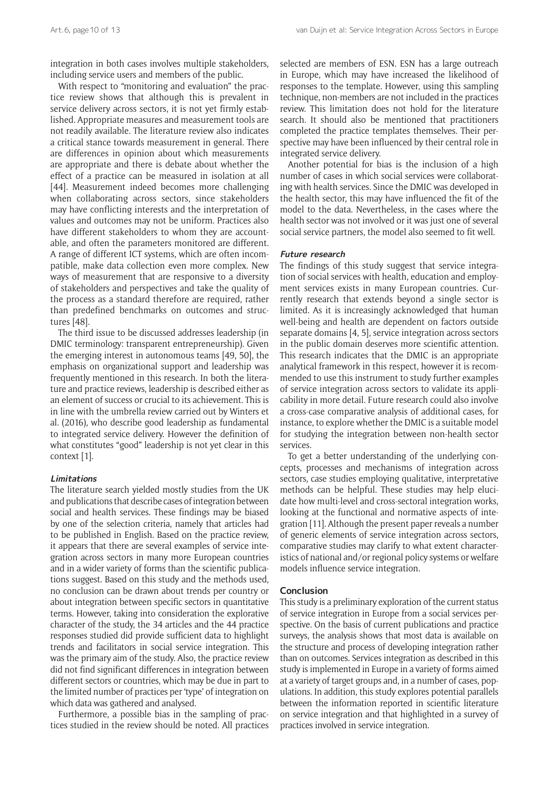integration in both cases involves multiple stakeholders, including service users and members of the public.

With respect to "monitoring and evaluation" the practice review shows that although this is prevalent in service delivery across sectors, it is not yet firmly established. Appropriate measures and measurement tools are not readily available. The literature review also indicates a critical stance towards measurement in general. There are differences in opinion about which measurements are appropriate and there is debate about whether the effect of a practice can be measured in isolation at all [44]. Measurement indeed becomes more challenging when collaborating across sectors, since stakeholders may have conflicting interests and the interpretation of values and outcomes may not be uniform. Practices also have different stakeholders to whom they are accountable, and often the parameters monitored are different. A range of different ICT systems, which are often incompatible, make data collection even more complex. New ways of measurement that are responsive to a diversity of stakeholders and perspectives and take the quality of the process as a standard therefore are required, rather than predefined benchmarks on outcomes and structures [48].

The third issue to be discussed addresses leadership (in DMIC terminology: transparent entrepreneurship). Given the emerging interest in autonomous teams [49, 50], the emphasis on organizational support and leadership was frequently mentioned in this research. In both the literature and practice reviews, leadership is described either as an element of success or crucial to its achievement. This is in line with the umbrella review carried out by Winters et al. (2016), who describe good leadership as fundamental to integrated service delivery. However the definition of what constitutes "good" leadership is not yet clear in this context [1].

#### **Limitations**

The literature search yielded mostly studies from the UK and publications that describe cases of integration between social and health services. These findings may be biased by one of the selection criteria, namely that articles had to be published in English. Based on the practice review, it appears that there are several examples of service integration across sectors in many more European countries and in a wider variety of forms than the scientific publications suggest. Based on this study and the methods used, no conclusion can be drawn about trends per country or about integration between specific sectors in quantitative terms. However, taking into consideration the explorative character of the study, the 34 articles and the 44 practice responses studied did provide sufficient data to highlight trends and facilitators in social service integration. This was the primary aim of the study. Also, the practice review did not find significant differences in integration between different sectors or countries, which may be due in part to the limited number of practices per 'type' of integration on which data was gathered and analysed.

Furthermore, a possible bias in the sampling of practices studied in the review should be noted. All practices selected are members of ESN. ESN has a large outreach in Europe, which may have increased the likelihood of responses to the template. However, using this sampling technique, non-members are not included in the practices review. This limitation does not hold for the literature search. It should also be mentioned that practitioners completed the practice templates themselves. Their perspective may have been influenced by their central role in integrated service delivery.

Another potential for bias is the inclusion of a high number of cases in which social services were collaborating with health services. Since the DMIC was developed in the health sector, this may have influenced the fit of the model to the data. Nevertheless, in the cases where the health sector was not involved or it was just one of several social service partners, the model also seemed to fit well.

# **Future research**

The findings of this study suggest that service integration of social services with health, education and employment services exists in many European countries. Currently research that extends beyond a single sector is limited. As it is increasingly acknowledged that human well-being and health are dependent on factors outside separate domains [4, 5], service integration across sectors in the public domain deserves more scientific attention. This research indicates that the DMIC is an appropriate analytical framework in this respect, however it is recommended to use this instrument to study further examples of service integration across sectors to validate its applicability in more detail. Future research could also involve a cross-case comparative analysis of additional cases, for instance, to explore whether the DMIC is a suitable model for studying the integration between non-health sector services.

To get a better understanding of the underlying concepts, processes and mechanisms of integration across sectors, case studies employing qualitative, interpretative methods can be helpful. These studies may help elucidate how multi-level and cross-sectoral integration works, looking at the functional and normative aspects of integration [11]. Although the present paper reveals a number of generic elements of service integration across sectors, comparative studies may clarify to what extent characteristics of national and/or regional policy systems or welfare models influence service integration.

# **Conclusion**

This study is a preliminary exploration of the current status of service integration in Europe from a social services perspective. On the basis of current publications and practice surveys, the analysis shows that most data is available on the structure and process of developing integration rather than on outcomes. Services integration as described in this study is implemented in Europe in a variety of forms aimed at a variety of target groups and, in a number of cases, populations. In addition, this study explores potential parallels between the information reported in scientific literature on service integration and that highlighted in a survey of practices involved in service integration.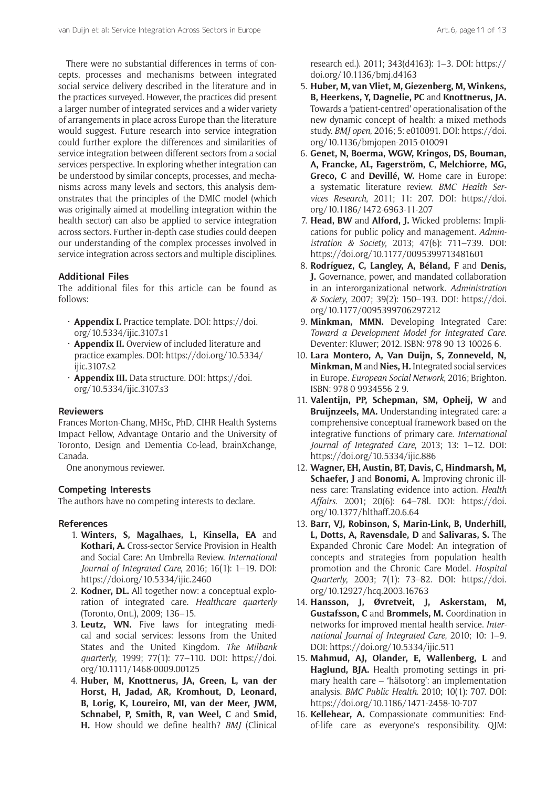There were no substantial differences in terms of concepts, processes and mechanisms between integrated social service delivery described in the literature and in the practices surveyed. However, the practices did present a larger number of integrated services and a wider variety of arrangements in place across Europe than the literature would suggest. Future research into service integration could further explore the differences and similarities of service integration between different sectors from a social services perspective. In exploring whether integration can be understood by similar concepts, processes, and mechanisms across many levels and sectors, this analysis demonstrates that the principles of the DMIC model (which was originally aimed at modelling integration within the health sector) can also be applied to service integration across sectors. Further in-depth case studies could deepen our understanding of the complex processes involved in service integration across sectors and multiple disciplines.

# **Additional Files**

The additional files for this article can be found as follows:

- **Appendix I.** Practice template. DOI: [https://doi.](https://doi.org/10.5334/ijic.3107.s1) [org/10.5334/ijic.3107.s1](https://doi.org/10.5334/ijic.3107.s1)
- **Appendix II.** Overview of included literature and practice examples. DOI: [https://doi.org/10.5334/](https://doi.org/10.5334/ijic.3107.s2) [ijic.3107.s2](https://doi.org/10.5334/ijic.3107.s2)
- **Appendix III.** Data structure. DOI: [https://doi.](https://doi.org/10.5334/ijic.3107.s3) [org/10.5334/ijic.3107.s3](https://doi.org/10.5334/ijic.3107.s3)

#### **Reviewers**

Frances Morton-Chang, MHSc, PhD, CIHR Health Systems Impact Fellow, Advantage Ontario and the University of Toronto, Design and Dementia Co-lead, brainXchange, Canada.

One anonymous reviewer.

#### **Competing Interests**

The authors have no competing interests to declare.

# **References**

- 1. **Winters, S, Magalhaes, L, Kinsella, EA** and **Kothari, A.** Cross-sector Service Provision in Health and Social Care: An Umbrella Review. *International Journal of Integrated Care*, 2016; 16(1): 1–19. DOI: <https://doi.org/10.5334/ijic.2460>
- 2. **Kodner, DL.** All together now: a conceptual exploration of integrated care. *Healthcare quarterly* (Toronto, Ont.), 2009; 136–15.
- 3. **Leutz, WN.** Five laws for integrating medical and social services: lessons from the United States and the United Kingdom. *The Milbank quarterly*, 1999; 77(1): 77–110. DOI: [https://doi.](https://doi.org/10.1111/1468-0009.00125) [org/10.1111/1468-0009.00125](https://doi.org/10.1111/1468-0009.00125)
- 4. **Huber, M, Knottnerus, JA, Green, L, van der Horst, H, Jadad, AR, Kromhout, D, Leonard, B, Lorig, K, Loureiro, MI, van der Meer, JWM,**  Schnabel, P, Smith, R, van Weel, C and Smid, **H.** How should we define health? *BMJ* (Clinical

research ed.). 2011; 343(d4163): 1–3. DOI: [https://](https://doi.org/10.1136/bmj.d4163) [doi.org/10.1136/bmj.d4163](https://doi.org/10.1136/bmj.d4163)

- 5. **Huber, M, van Vliet, M, Giezenberg, M, Winkens, B, Heerkens, Y, Dagnelie, PC** and **Knottnerus, JA.** Towards a 'patient-centred' operationalisation of the new dynamic concept of health: a mixed methods study. *BMJ open*, 2016; 5: e010091. DOI: [https://doi.](https://doi.org/10.1136/bmjopen-2015-010091) [org/10.1136/bmjopen-2015-010091](https://doi.org/10.1136/bmjopen-2015-010091)
- 6. **Genet, N, Boerma, WGW, Kringos, DS, Bouman, A, Francke, AL, Fagerström, C, Melchiorre, MG, Greco, C** and **Devillé, W.** Home care in Europe: a systematic literature review. *BMC Health Services Research*, 2011; 11: 207. DOI: [https://doi.](https://doi.org/10.1186/1472-6963-11-207) [org/10.1186/1472-6963-11-207](https://doi.org/10.1186/1472-6963-11-207)
- 7. **Head, BW** and **Alford, J.** Wicked problems: Implications for public policy and management. *Administration & Society*, 2013; 47(6): 711–739. DOI: <https://doi.org/10.1177/0095399713481601>
- 8. **Rodríguez, C, Langley, A, Béland, F** and **Denis, J.** Governance, power, and mandated collaboration in an interorganizational network. *Administration & Society*, 2007; 39(2): 150–193. DOI: [https://doi.](https://doi.org/10.1177/0095399706297212) [org/10.1177/0095399706297212](https://doi.org/10.1177/0095399706297212)
- 9. **Minkman, MMN.** Developing Integrated Care: *Toward a Development Model for Integrated Care*. Deventer: Kluwer; 2012. ISBN: 978 90 13 10026 6.
- 10. **Lara Montero, A, Van Duijn, S, Zonneveld, N, Minkman, M** and **Nies, H.** Integrated social services in Europe. *European Social Network*, 2016; Brighton. ISBN: 978 0 9934556 2 9.
- 11. **Valentijn, PP, Schepman, SM, Opheij, W** and **Bruijnzeels, MA.** Understanding integrated care: a comprehensive conceptual framework based on the integrative functions of primary care. *International Journal of Integrated Care*, 2013; 13: 1–12. DOI: <https://doi.org/10.5334/ijic.886>
- 12. **Wagner, EH, Austin, BT, Davis, C, Hindmarsh, M, Schaefer, J** and **Bonomi, A.** Improving chronic illness care: Translating evidence into action. *Health Affairs*. 2001; 20(6): 64–78l. DOI: [https://doi.](https://doi.org/10.1377/hlthaff.20.6.64) [org/10.1377/hlthaff.20.6.64](https://doi.org/10.1377/hlthaff.20.6.64)
- 13. **Barr, VJ, Robinson, S, Marin-Link, B, Underhill, L, Dotts, A, Ravensdale, D** and **Salivaras, S.** The Expanded Chronic Care Model: An integration of concepts and strategies from population health promotion and the Chronic Care Model. *Hospital Quarterly*, 2003; 7(1): 73–82. DOI: [https://doi.](https://doi.org/10.12927/hcq.2003.16763) [org/10.12927/hcq.2003.16763](https://doi.org/10.12927/hcq.2003.16763)
- 14. **Hansson, J, Øvretveit, J, Askerstam, M, Gustafsson, C** and **Brommels, M.** Coordination in networks for improved mental health service. *International Journal of Integrated Care*, 2010; 10: 1–9. DOI: <https://doi.org/10.5334/ijic.511>
- 15. **Mahmud, AJ, Olander, E, Wallenberg, L** and **Haglund, BJA.** Health promoting settings in primary health care – 'hälsotorg': an implementation analysis. *BMC Public Health*. 2010; 10(1): 707. DOI: <https://doi.org/10.1186/1471-2458-10-707>
- 16. **Kellehear, A.** Compassionate communities: Endof-life care as everyone's responsibility. QJM: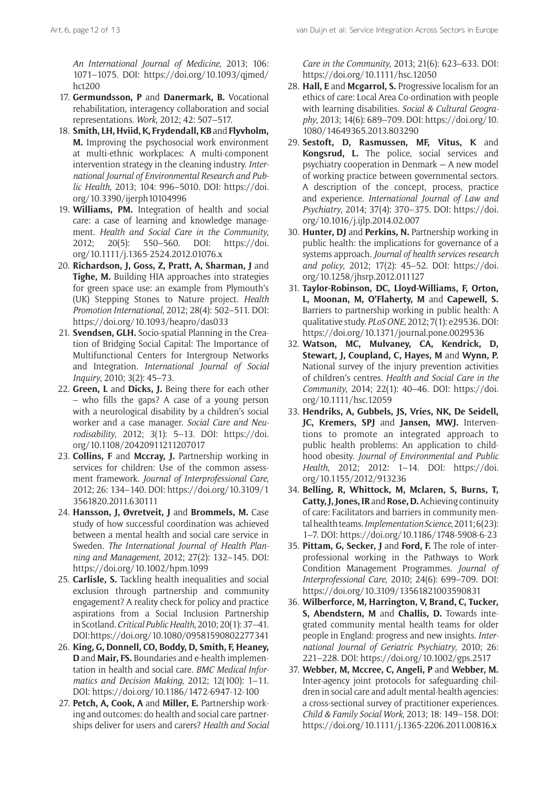*An International Journal of Medicine*, 2013; 106: 1071–1075. DOI: [https://doi.org/10.1093/qjmed/](https://doi.org/10.1093/qjmed/hct200) [hct200](https://doi.org/10.1093/qjmed/hct200)

- 17. **Germundsson, P** and **Danermark, B.** Vocational rehabilitation, interagency collaboration and social representations. *Work*, 2012; 42: 507–517.
- 18. **Smith, LH, Hviid, K, Frydendall, KB** and **Flyvholm, M.** Improving the psychosocial work environment at multi-ethnic workplaces: A multi-component intervention strategy in the cleaning industry. *International Journal of Environmental Research and Public Health*, 2013; 104: 996–5010. DOI: [https://doi.](https://doi.org/10.3390/ijerph10104996) [org/10.3390/ijerph10104996](https://doi.org/10.3390/ijerph10104996)
- 19. **Williams, PM.** Integration of health and social care: a case of learning and knowledge management. *Health and Social Care in the Community*, 2012; 20(5): 550–560. DOI: [https://doi.](https://doi.org/10.1111/j.1365-2524.2012.01076.x) [org/10.1111/j.1365-2524.2012.01076.x](https://doi.org/10.1111/j.1365-2524.2012.01076.x)
- 20. **Richardson, J, Goss, Z, Pratt, A, Sharman, J** and **Tighe, M.** Building HIA approaches into strategies for green space use: an example from Plymouth's (UK) Stepping Stones to Nature project. *Health Promotion International*, 2012; 28(4): 502–511. DOI: <https://doi.org/10.1093/heapro/das033>
- 21. **Svendsen, GLH.** Socio-spatial Planning in the Creation of Bridging Social Capital: The Importance of Multifunctional Centers for Intergroup Networks and Integration. *International Journal of Social Inquiry*, 2010; 3(2): 45–73.
- 22. **Green, L** and **Dicks, J.** Being there for each other – who fills the gaps? A case of a young person with a neurological disability by a children's social worker and a case manager. *Social Care and Neurodisability*, 2012; 3(1): 5–13. DOI: [https://doi.](https://doi.org/10.1108/20420911211207017) [org/10.1108/20420911211207017](https://doi.org/10.1108/20420911211207017)
- 23. **Collins, F** and **Mccray, J.** Partnership working in services for children: Use of the common assessment framework. *Journal of Interprofessional Care*, 2012; 26: 134–140. DOI: [https://doi.org/10.3109/1](https://doi.org/10.3109/13561820.2011.630111) [3561820.2011.630111](https://doi.org/10.3109/13561820.2011.630111)
- 24. **Hansson, J, Øvretveit, J** and **Brommels, M.** Case study of how successful coordination was achieved between a mental health and social care service in Sweden. *The International Journal of Health Planning and Management*, 2012; 27(2): 132–145. DOI: <https://doi.org/10.1002/hpm.1099>
- 25. **Carlisle, S.** Tackling health inequalities and social exclusion through partnership and community engagement? A reality check for policy and practice aspirations from a Social Inclusion Partnership in Scotland. *Critical Public Health*, 2010; 20(1): 37–41. DOI:<https://doi.org/10.1080/09581590802277341>
- 26. **King, G, Donnell, CO, Boddy, D, Smith, F, Heaney, D** and **Mair, FS.** Boundaries and e-health implementation in health and social care. *BMC Medical Informatics and Decision Making*, 2012; 12(100): 1–11. DOI: <https://doi.org/10.1186/1472-6947-12-100>
- 27. **Petch, A, Cook, A** and **Miller, E.** Partnership working and outcomes: do health and social care partnerships deliver for users and carers? *Health and Social*

*Care in the Community*, 2013; 21(6): 623–633. DOI: <https://doi.org/10.1111/hsc.12050>

- 28. **Hall, E** and **Mcgarrol, S.** Progressive localism for an ethics of care: Local Area Co-ordination with people with learning disabilities. *Social & Cultural Geography*, 2013; 14(6): 689–709. DOI: [https://doi.org/10.](https://doi.org/10.1080/14649365.2013.803290) [1080/14649365.2013.803290](https://doi.org/10.1080/14649365.2013.803290)
- 29. **Sestoft, D, Rasmussen, MF, Vitus, K** and **Kongsrud, L.** The police, social services and psychiatry cooperation in Denmark — A new model of working practice between governmental sectors. A description of the concept, process, practice and experience. *International Journal of Law and Psychiatry*, 2014; 37(4): 370–375. DOI: [https://doi.](https://doi.org/10.1016/j.ijlp.2014.02.007) [org/10.1016/j.ijlp.2014.02.007](https://doi.org/10.1016/j.ijlp.2014.02.007)
- 30. **Hunter, DJ** and **Perkins, N.** Partnership working in public health: the implications for governance of a systems approach. *Journal of health services research and policy*, 2012; 17(2): 45–52. DOI: [https://doi.](https://doi.org/10.1258/jhsrp.2012.011127) [org/10.1258/jhsrp.2012.011127](https://doi.org/10.1258/jhsrp.2012.011127)
- 31. **Taylor-Robinson, DC, Lloyd-Williams, F, Orton, L, Moonan, M, O'Flaherty, M** and **Capewell, S.** Barriers to partnership working in public health: A qualitative study. *PLoS ONE*, 2012; 7(1): e29536. DOI: <https://doi.org/10.1371/journal.pone.0029536>
- 32. **Watson, MC, Mulvaney, CA, Kendrick, D, Stewart, J, Coupland, C, Hayes, M** and **Wynn, P.** National survey of the injury prevention activities of children's centres. *Health and Social Care in the Community*, 2014; 22(1): 40–46. DOI: [https://doi.](https://doi.org/10.1111/hsc.12059) [org/10.1111/hsc.12059](https://doi.org/10.1111/hsc.12059)
- 33. **Hendriks, A, Gubbels, JS, Vries, NK, De Seidell, JC, Kremers, SPJ** and **Jansen, MWJ.** Interventions to promote an integrated approach to public health problems: An application to childhood obesity. *Journal of Environmental and Public Health*, 2012; 2012: 1–14. DOI: [https://doi.](https://doi.org/10.1155/2012/913236) [org/10.1155/2012/913236](https://doi.org/10.1155/2012/913236)
- 34. **Belling, R, Whittock, M, Mclaren, S, Burns, T, Catty, J, Jones, IR** and **Rose, D.** Achieving continuity of care: Facilitators and barriers in community mental health teams. *Implementation Science*, 2011; 6(23): 1–7. DOI: <https://doi.org/10.1186/1748-5908-6-23>
- 35. **Pittam, G, Secker, J** and **Ford, F.** The role of interprofessional working in the Pathways to Work Condition Management Programmes. *Journal of Interprofessional Care*, 2010; 24(6): 699–709. DOI: <https://doi.org/10.3109/13561821003590831>
- 36. **Wilberforce, M, Harrington, V, Brand, C, Tucker, S, Abendstern, M** and **Challis, D.** Towards integrated community mental health teams for older people in England: progress and new insights. *International Journal of Geriatric Psychiatry*, 2010; 26: 221–228. DOI:<https://doi.org/10.1002/gps.2517>
- 37. **Webber, M, Mccree, C, Angeli, P** and **Webber, M.** Inter-agency joint protocols for safeguarding children in social care and adult mental-health agencies: a cross-sectional survey of practitioner experiences. *Child & Family Social Work*, 2013; 18: 149–158. DOI: <https://doi.org/10.1111/j.1365-2206.2011.00816.x>